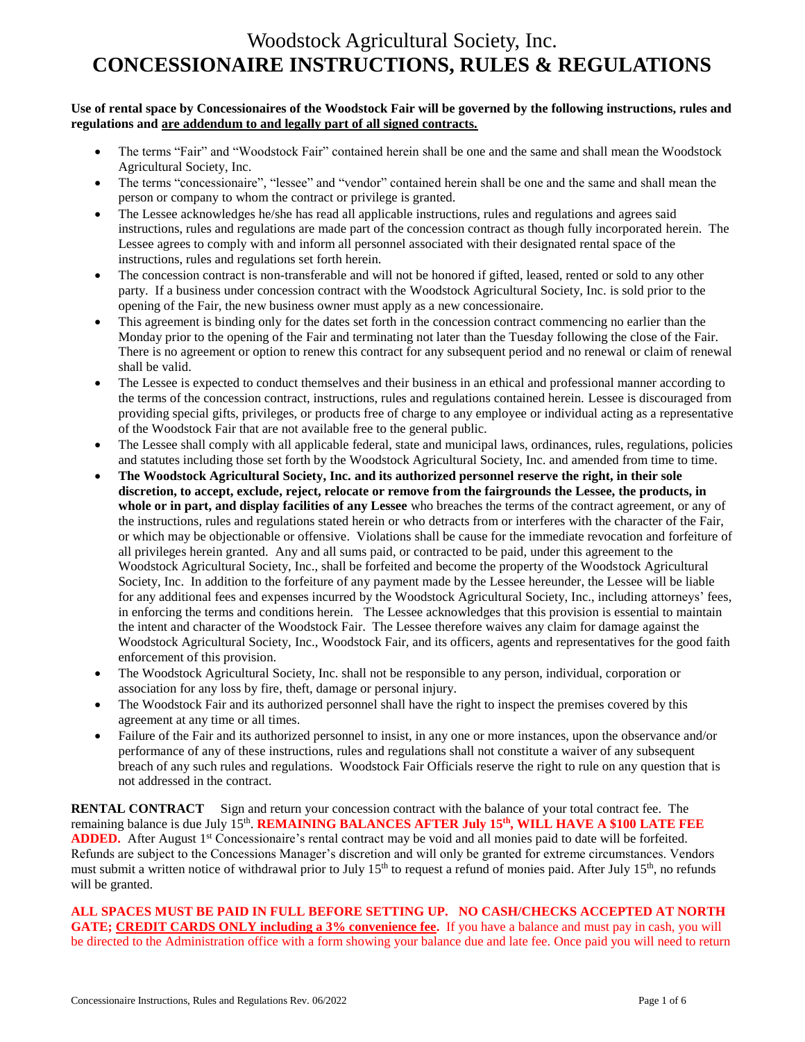### **Use of rental space by Concessionaires of the Woodstock Fair will be governed by the following instructions, rules and regulations and are addendum to and legally part of all signed contracts.**

- The terms "Fair" and "Woodstock Fair" contained herein shall be one and the same and shall mean the Woodstock Agricultural Society, Inc.
- The terms "concessionaire", "lessee" and "vendor" contained herein shall be one and the same and shall mean the person or company to whom the contract or privilege is granted.
- The Lessee acknowledges he/she has read all applicable instructions, rules and regulations and agrees said instructions, rules and regulations are made part of the concession contract as though fully incorporated herein. The Lessee agrees to comply with and inform all personnel associated with their designated rental space of the instructions, rules and regulations set forth herein.
- The concession contract is non-transferable and will not be honored if gifted, leased, rented or sold to any other party. If a business under concession contract with the Woodstock Agricultural Society, Inc. is sold prior to the opening of the Fair, the new business owner must apply as a new concessionaire.
- This agreement is binding only for the dates set forth in the concession contract commencing no earlier than the Monday prior to the opening of the Fair and terminating not later than the Tuesday following the close of the Fair. There is no agreement or option to renew this contract for any subsequent period and no renewal or claim of renewal shall be valid.
- The Lessee is expected to conduct themselves and their business in an ethical and professional manner according to the terms of the concession contract, instructions, rules and regulations contained herein. Lessee is discouraged from providing special gifts, privileges, or products free of charge to any employee or individual acting as a representative of the Woodstock Fair that are not available free to the general public.
- The Lessee shall comply with all applicable federal, state and municipal laws, ordinances, rules, regulations, policies and statutes including those set forth by the Woodstock Agricultural Society, Inc. and amended from time to time.
- **The Woodstock Agricultural Society, Inc. and its authorized personnel reserve the right, in their sole discretion, to accept, exclude, reject, relocate or remove from the fairgrounds the Lessee, the products, in whole or in part, and display facilities of any Lessee** who breaches the terms of the contract agreement, or any of the instructions, rules and regulations stated herein or who detracts from or interferes with the character of the Fair, or which may be objectionable or offensive. Violations shall be cause for the immediate revocation and forfeiture of all privileges herein granted. Any and all sums paid, or contracted to be paid, under this agreement to the Woodstock Agricultural Society, Inc., shall be forfeited and become the property of the Woodstock Agricultural Society, Inc. In addition to the forfeiture of any payment made by the Lessee hereunder, the Lessee will be liable for any additional fees and expenses incurred by the Woodstock Agricultural Society, Inc., including attorneys' fees, in enforcing the terms and conditions herein. The Lessee acknowledges that this provision is essential to maintain the intent and character of the Woodstock Fair. The Lessee therefore waives any claim for damage against the Woodstock Agricultural Society, Inc., Woodstock Fair, and its officers, agents and representatives for the good faith enforcement of this provision.
- The Woodstock Agricultural Society, Inc. shall not be responsible to any person, individual, corporation or association for any loss by fire, theft, damage or personal injury.
- The Woodstock Fair and its authorized personnel shall have the right to inspect the premises covered by this agreement at any time or all times.
- Failure of the Fair and its authorized personnel to insist, in any one or more instances, upon the observance and/or performance of any of these instructions, rules and regulations shall not constitute a waiver of any subsequent breach of any such rules and regulations. Woodstock Fair Officials reserve the right to rule on any question that is not addressed in the contract.

**RENTAL CONTRACT** Sign and return your concession contract with the balance of your total contract fee. The remaining balance is due July 15<sup>th</sup>. **REMAINING BALANCES AFTER July 15<sup>th</sup>, WILL HAVE A \$100 LATE FEE** ADDED. After August 1<sup>st</sup> Concessionaire's rental contract may be void and all monies paid to date will be forfeited. Refunds are subject to the Concessions Manager's discretion and will only be granted for extreme circumstances. Vendors must submit a written notice of withdrawal prior to July 15<sup>th</sup> to request a refund of monies paid. After July 15<sup>th</sup>, no refunds will be granted.

**ALL SPACES MUST BE PAID IN FULL BEFORE SETTING UP. NO CASH/CHECKS ACCEPTED AT NORTH GATE; CREDIT CARDS ONLY including a 3% convenience fee.** If you have a balance and must pay in cash, you will be directed to the Administration office with a form showing your balance due and late fee. Once paid you will need to return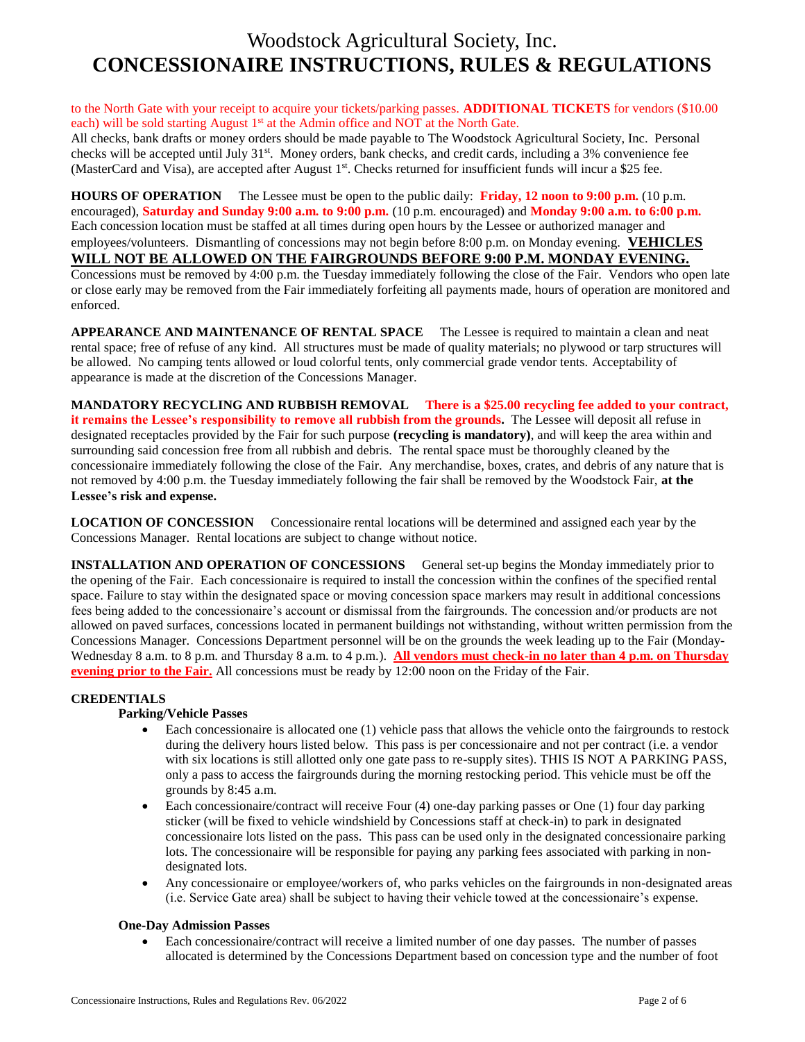#### to the North Gate with your receipt to acquire your tickets/parking passes. **ADDITIONAL TICKETS** for vendors (\$10.00 each) will be sold starting August  $1<sup>st</sup>$  at the Admin office and NOT at the North Gate.

All checks, bank drafts or money orders should be made payable to The Woodstock Agricultural Society, Inc. Personal checks will be accepted until July 31<sup>st</sup>. Money orders, bank checks, and credit cards, including a 3% convenience fee (MasterCard and Visa), are accepted after August 1<sup>st</sup>. Checks returned for insufficient funds will incur a \$25 fee.

**HOURS OF OPERATION** The Lessee must be open to the public daily: **Friday, 12 noon to 9:00 p.m.** (10 p.m. encouraged), **Saturday and Sunday 9:00 a.m. to 9:00 p.m.** (10 p.m. encouraged) and **Monday 9:00 a.m. to 6:00 p.m.**  Each concession location must be staffed at all times during open hours by the Lessee or authorized manager and employees/volunteers. Dismantling of concessions may not begin before 8:00 p.m. on Monday evening. **VEHICLES WILL NOT BE ALLOWED ON THE FAIRGROUNDS BEFORE 9:00 P.M. MONDAY EVENING.** 

Concessions must be removed by 4:00 p.m. the Tuesday immediately following the close of the Fair. Vendors who open late or close early may be removed from the Fair immediately forfeiting all payments made, hours of operation are monitored and enforced.

**APPEARANCE AND MAINTENANCE OF RENTAL SPACE** The Lessee is required to maintain a clean and neat rental space; free of refuse of any kind. All structures must be made of quality materials; no plywood or tarp structures will be allowed. No camping tents allowed or loud colorful tents, only commercial grade vendor tents. Acceptability of appearance is made at the discretion of the Concessions Manager.

**MANDATORY RECYCLING AND RUBBISH REMOVAL There is a \$25.00 recycling fee added to your contract, it remains the Lessee's responsibility to remove all rubbish from the grounds.** The Lessee will deposit all refuse in designated receptacles provided by the Fair for such purpose **(recycling is mandatory)**, and will keep the area within and surrounding said concession free from all rubbish and debris. The rental space must be thoroughly cleaned by the concessionaire immediately following the close of the Fair. Any merchandise, boxes, crates, and debris of any nature that is not removed by 4:00 p.m. the Tuesday immediately following the fair shall be removed by the Woodstock Fair, **at the Lessee's risk and expense.**

**LOCATION OF CONCESSION** Concessionaire rental locations will be determined and assigned each year by the Concessions Manager. Rental locations are subject to change without notice.

**INSTALLATION AND OPERATION OF CONCESSIONS** General set-up begins the Monday immediately prior to the opening of the Fair. Each concessionaire is required to install the concession within the confines of the specified rental space. Failure to stay within the designated space or moving concession space markers may result in additional concessions fees being added to the concessionaire's account or dismissal from the fairgrounds. The concession and/or products are not allowed on paved surfaces, concessions located in permanent buildings not withstanding, without written permission from the Concessions Manager. Concessions Department personnel will be on the grounds the week leading up to the Fair (Monday-Wednesday 8 a.m. to 8 p.m. and Thursday 8 a.m. to 4 p.m.). **All vendors must check-in no later than 4 p.m. on Thursday evening prior to the Fair.** All concessions must be ready by 12:00 noon on the Friday of the Fair.

### **CREDENTIALS**

### **Parking/Vehicle Passes**

- Each concessionaire is allocated one (1) vehicle pass that allows the vehicle onto the fairgrounds to restock during the delivery hours listed below. This pass is per concessionaire and not per contract (i.e. a vendor with six locations is still allotted only one gate pass to re-supply sites). THIS IS NOT A PARKING PASS, only a pass to access the fairgrounds during the morning restocking period. This vehicle must be off the grounds by 8:45 a.m.
- Each concessionaire/contract will receive Four (4) one-day parking passes or One (1) four day parking sticker (will be fixed to vehicle windshield by Concessions staff at check-in) to park in designated concessionaire lots listed on the pass. This pass can be used only in the designated concessionaire parking lots. The concessionaire will be responsible for paying any parking fees associated with parking in nondesignated lots.
- Any concessionaire or employee/workers of, who parks vehicles on the fairgrounds in non-designated areas (i.e. Service Gate area) shall be subject to having their vehicle towed at the concessionaire's expense.

### **One-Day Admission Passes**

 Each concessionaire/contract will receive a limited number of one day passes. The number of passes allocated is determined by the Concessions Department based on concession type and the number of foot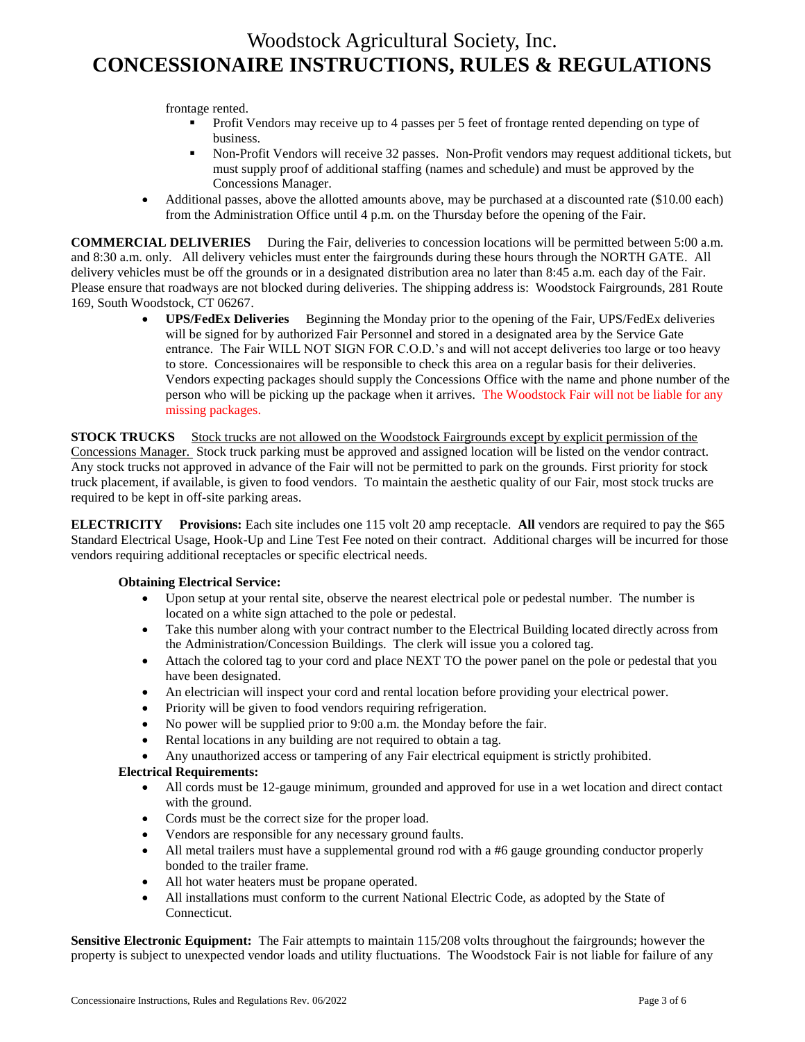frontage rented.

- Profit Vendors may receive up to 4 passes per 5 feet of frontage rented depending on type of business.
- Non-Profit Vendors will receive 32 passes. Non-Profit vendors may request additional tickets, but must supply proof of additional staffing (names and schedule) and must be approved by the Concessions Manager.
- Additional passes, above the allotted amounts above, may be purchased at a discounted rate (\$10.00 each) from the Administration Office until 4 p.m. on the Thursday before the opening of the Fair.

**COMMERCIAL DELIVERIES** During the Fair, deliveries to concession locations will be permitted between 5:00 a.m. and 8:30 a.m. only. All delivery vehicles must enter the fairgrounds during these hours through the NORTH GATE.All delivery vehicles must be off the grounds or in a designated distribution area no later than 8:45 a.m. each day of the Fair. Please ensure that roadways are not blocked during deliveries. The shipping address is: Woodstock Fairgrounds, 281 Route 169, South Woodstock, CT 06267.

> **UPS/FedEx Deliveries** Beginning the Monday prior to the opening of the Fair, UPS/FedEx deliveries will be signed for by authorized Fair Personnel and stored in a designated area by the Service Gate entrance. The Fair WILL NOT SIGN FOR C.O.D.'s and will not accept deliveries too large or too heavy to store. Concessionaires will be responsible to check this area on a regular basis for their deliveries. Vendors expecting packages should supply the Concessions Office with the name and phone number of the person who will be picking up the package when it arrives. The Woodstock Fair will not be liable for any missing packages.

**STOCK TRUCKS** Stock trucks are not allowed on the Woodstock Fairgrounds except by explicit permission of the Concessions Manager. Stock truck parking must be approved and assigned location will be listed on the vendor contract. Any stock trucks not approved in advance of the Fair will not be permitted to park on the grounds. First priority for stock truck placement, if available, is given to food vendors. To maintain the aesthetic quality of our Fair, most stock trucks are required to be kept in off-site parking areas.

**ELECTRICITY Provisions:** Each site includes one 115 volt 20 amp receptacle. **All** vendors are required to pay the \$65 Standard Electrical Usage, Hook-Up and Line Test Fee noted on their contract. Additional charges will be incurred for those vendors requiring additional receptacles or specific electrical needs.

### **Obtaining Electrical Service:**

- Upon setup at your rental site, observe the nearest electrical pole or pedestal number. The number is located on a white sign attached to the pole or pedestal.
- Take this number along with your contract number to the Electrical Building located directly across from the Administration/Concession Buildings. The clerk will issue you a colored tag.
- Attach the colored tag to your cord and place NEXT TO the power panel on the pole or pedestal that you have been designated.
- An electrician will inspect your cord and rental location before providing your electrical power.
- Priority will be given to food vendors requiring refrigeration.
- No power will be supplied prior to 9:00 a.m. the Monday before the fair.
- Rental locations in any building are not required to obtain a tag.
- Any unauthorized access or tampering of any Fair electrical equipment is strictly prohibited.

### **Electrical Requirements:**

- All cords must be 12-gauge minimum, grounded and approved for use in a wet location and direct contact with the ground.
- Cords must be the correct size for the proper load.
- Vendors are responsible for any necessary ground faults.
- All metal trailers must have a supplemental ground rod with a #6 gauge grounding conductor properly bonded to the trailer frame.
- All hot water heaters must be propane operated.
- All installations must conform to the current National Electric Code, as adopted by the State of Connecticut.

**Sensitive Electronic Equipment:** The Fair attempts to maintain 115/208 volts throughout the fairgrounds; however the property is subject to unexpected vendor loads and utility fluctuations. The Woodstock Fair is not liable for failure of any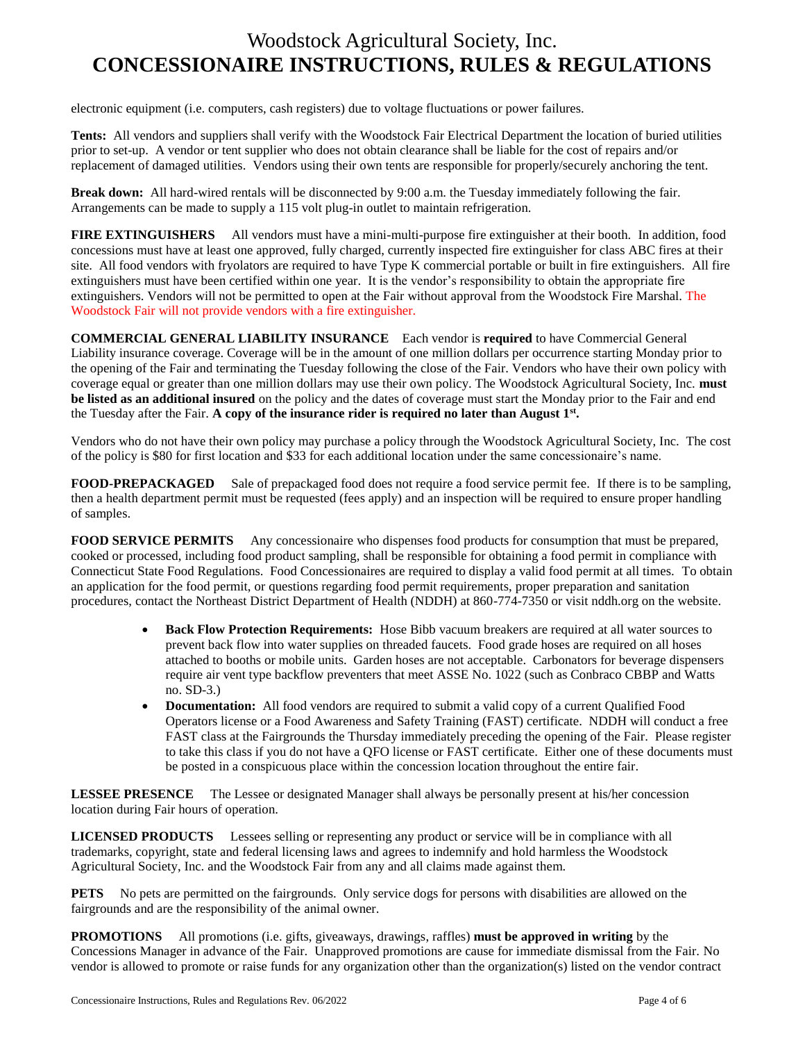electronic equipment (i.e. computers, cash registers) due to voltage fluctuations or power failures.

**Tents:** All vendors and suppliers shall verify with the Woodstock Fair Electrical Department the location of buried utilities prior to set-up. A vendor or tent supplier who does not obtain clearance shall be liable for the cost of repairs and/or replacement of damaged utilities. Vendors using their own tents are responsible for properly/securely anchoring the tent.

**Break down:** All hard-wired rentals will be disconnected by 9:00 a.m. the Tuesday immediately following the fair. Arrangements can be made to supply a 115 volt plug-in outlet to maintain refrigeration.

**FIRE EXTINGUISHERS** All vendors must have a mini-multi-purpose fire extinguisher at their booth. In addition, food concessions must have at least one approved, fully charged, currently inspected fire extinguisher for class ABC fires at their site. All food vendors with fryolators are required to have Type K commercial portable or built in fire extinguishers. All fire extinguishers must have been certified within one year. It is the vendor's responsibility to obtain the appropriate fire extinguishers. Vendors will not be permitted to open at the Fair without approval from the Woodstock Fire Marshal. The Woodstock Fair will not provide vendors with a fire extinguisher.

**COMMERCIAL GENERAL LIABILITY INSURANCE** Each vendor is **required** to have Commercial General Liability insurance coverage. Coverage will be in the amount of one million dollars per occurrence starting Monday prior to the opening of the Fair and terminating the Tuesday following the close of the Fair. Vendors who have their own policy with coverage equal or greater than one million dollars may use their own policy. The Woodstock Agricultural Society, Inc. **must be listed as an additional insured** on the policy and the dates of coverage must start the Monday prior to the Fair and end the Tuesday after the Fair. **A copy of the insurance rider is required no later than August 1st .**

Vendors who do not have their own policy may purchase a policy through the Woodstock Agricultural Society, Inc. The cost of the policy is \$80 for first location and \$33 for each additional location under the same concessionaire's name.

**FOOD-PREPACKAGED** Sale of prepackaged food does not require a food service permit fee. If there is to be sampling, then a health department permit must be requested (fees apply) and an inspection will be required to ensure proper handling of samples.

**FOOD SERVICE PERMITS** Any concessionaire who dispenses food products for consumption that must be prepared, cooked or processed, including food product sampling, shall be responsible for obtaining a food permit in compliance with Connecticut State Food Regulations. Food Concessionaires are required to display a valid food permit at all times. To obtain an application for the food permit, or questions regarding food permit requirements, proper preparation and sanitation procedures, contact the Northeast District Department of Health (NDDH) at 860-774-7350 or visit nddh.org on the website.

- **Back Flow Protection Requirements:** Hose Bibb vacuum breakers are required at all water sources to prevent back flow into water supplies on threaded faucets. Food grade hoses are required on all hoses attached to booths or mobile units. Garden hoses are not acceptable. Carbonators for beverage dispensers require air vent type backflow preventers that meet ASSE No. 1022 (such as Conbraco CBBP and Watts no. SD-3.)
- **Documentation:** All food vendors are required to submit a valid copy of a current Qualified Food Operators license or a Food Awareness and Safety Training (FAST) certificate. NDDH will conduct a free FAST class at the Fairgrounds the Thursday immediately preceding the opening of the Fair. Please register to take this class if you do not have a QFO license or FAST certificate. Either one of these documents must be posted in a conspicuous place within the concession location throughout the entire fair.

**LESSEE PRESENCE** The Lessee or designated Manager shall always be personally present at his/her concession location during Fair hours of operation.

**LICENSED PRODUCTS** Lessees selling or representing any product or service will be in compliance with all trademarks, copyright, state and federal licensing laws and agrees to indemnify and hold harmless the Woodstock Agricultural Society, Inc. and the Woodstock Fair from any and all claims made against them.

**PETS** No pets are permitted on the fairgrounds. Only service dogs for persons with disabilities are allowed on the fairgrounds and are the responsibility of the animal owner.

**PROMOTIONS** All promotions (i.e. gifts, giveaways, drawings, raffles) **must be approved in writing** by the Concessions Manager in advance of the Fair. Unapproved promotions are cause for immediate dismissal from the Fair. No vendor is allowed to promote or raise funds for any organization other than the organization(s) listed on the vendor contract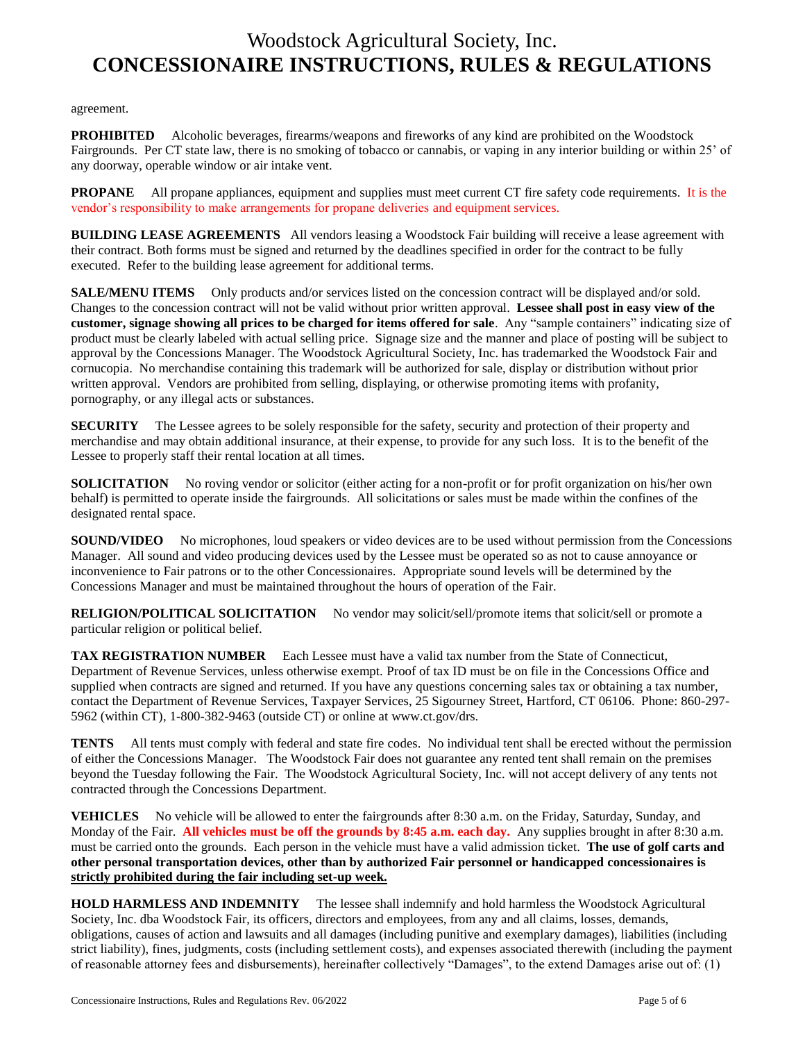agreement.

**PROHIBITED** Alcoholic beverages, firearms/weapons and fireworks of any kind are prohibited on the Woodstock Fairgrounds. Per CT state law, there is no smoking of tobacco or cannabis, or vaping in any interior building or within 25' of any doorway, operable window or air intake vent.

**PROPANE** All propane appliances, equipment and supplies must meet current CT fire safety code requirements. It is the vendor's responsibility to make arrangements for propane deliveries and equipment services.

**BUILDING LEASE AGREEMENTS** All vendors leasing a Woodstock Fair building will receive a lease agreement with their contract. Both forms must be signed and returned by the deadlines specified in order for the contract to be fully executed. Refer to the building lease agreement for additional terms.

**SALE/MENU ITEMS** Only products and/or services listed on the concession contract will be displayed and/or sold. Changes to the concession contract will not be valid without prior written approval. **Lessee shall post in easy view of the customer, signage showing all prices to be charged for items offered for sale**. Any "sample containers" indicating size of product must be clearly labeled with actual selling price. Signage size and the manner and place of posting will be subject to approval by the Concessions Manager. The Woodstock Agricultural Society, Inc. has trademarked the Woodstock Fair and cornucopia. No merchandise containing this trademark will be authorized for sale, display or distribution without prior written approval. Vendors are prohibited from selling, displaying, or otherwise promoting items with profanity, pornography, or any illegal acts or substances.

**SECURITY** The Lessee agrees to be solely responsible for the safety, security and protection of their property and merchandise and may obtain additional insurance, at their expense, to provide for any such loss. It is to the benefit of the Lessee to properly staff their rental location at all times.

**SOLICITATION** No roving vendor or solicitor (either acting for a non-profit or for profit organization on his/her own behalf) is permitted to operate inside the fairgrounds. All solicitations or sales must be made within the confines of the designated rental space.

**SOUND/VIDEO** No microphones, loud speakers or video devices are to be used without permission from the Concessions Manager. All sound and video producing devices used by the Lessee must be operated so as not to cause annoyance or inconvenience to Fair patrons or to the other Concessionaires. Appropriate sound levels will be determined by the Concessions Manager and must be maintained throughout the hours of operation of the Fair.

**RELIGION/POLITICAL SOLICITATION** No vendor may solicit/sell/promote items that solicit/sell or promote a particular religion or political belief.

**TAX REGISTRATION NUMBER** Each Lessee must have a valid tax number from the State of Connecticut, Department of Revenue Services, unless otherwise exempt. Proof of tax ID must be on file in the Concessions Office and supplied when contracts are signed and returned. If you have any questions concerning sales tax or obtaining a tax number, contact the Department of Revenue Services, Taxpayer Services, 25 Sigourney Street, Hartford, CT 06106. Phone: 860-297- 5962 (within CT), 1-800-382-9463 (outside CT) or online at www.ct.gov/drs.

**TENTS** All tents must comply with federal and state fire codes. No individual tent shall be erected without the permission of either the Concessions Manager. The Woodstock Fair does not guarantee any rented tent shall remain on the premises beyond the Tuesday following the Fair. The Woodstock Agricultural Society, Inc. will not accept delivery of any tents not contracted through the Concessions Department.

**VEHICLES** No vehicle will be allowed to enter the fairgrounds after 8:30 a.m. on the Friday, Saturday, Sunday, and Monday of the Fair. **All vehicles must be off the grounds by 8:45 a.m. each day.** Any supplies brought in after 8:30 a.m. must be carried onto the grounds. Each person in the vehicle must have a valid admission ticket. **The use of golf carts and other personal transportation devices, other than by authorized Fair personnel or handicapped concessionaires is strictly prohibited during the fair including set-up week.**

**HOLD HARMLESS AND INDEMNITY** The lessee shall indemnify and hold harmless the Woodstock Agricultural Society, Inc. dba Woodstock Fair, its officers, directors and employees, from any and all claims, losses, demands, obligations, causes of action and lawsuits and all damages (including punitive and exemplary damages), liabilities (including strict liability), fines, judgments, costs (including settlement costs), and expenses associated therewith (including the payment of reasonable attorney fees and disbursements), hereinafter collectively "Damages", to the extend Damages arise out of: (1)